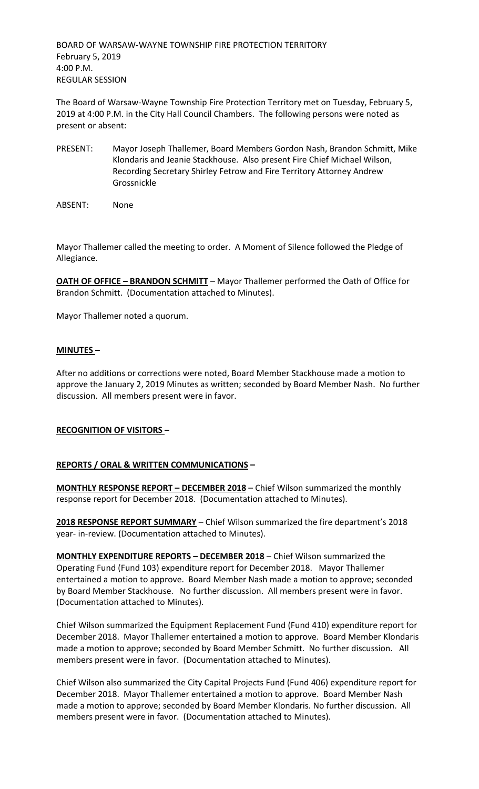BOARD OF WARSAW-WAYNE TOWNSHIP FIRE PROTECTION TERRITORY February 5, 2019 4:00 P.M. REGULAR SESSION

The Board of Warsaw-Wayne Township Fire Protection Territory met on Tuesday, February 5, 2019 at 4:00 P.M. in the City Hall Council Chambers. The following persons were noted as present or absent:

- PRESENT: Mayor Joseph Thallemer, Board Members Gordon Nash, Brandon Schmitt, Mike Klondaris and Jeanie Stackhouse. Also present Fire Chief Michael Wilson, Recording Secretary Shirley Fetrow and Fire Territory Attorney Andrew Grossnickle
- ABSENT: None

Mayor Thallemer called the meeting to order. A Moment of Silence followed the Pledge of Allegiance.

**OATH OF OFFICE – BRANDON SCHMITT** – Mayor Thallemer performed the Oath of Office for Brandon Schmitt. (Documentation attached to Minutes).

Mayor Thallemer noted a quorum.

## **MINUTES –**

After no additions or corrections were noted, Board Member Stackhouse made a motion to approve the January 2, 2019 Minutes as written; seconded by Board Member Nash. No further discussion. All members present were in favor.

#### **RECOGNITION OF VISITORS –**

#### **REPORTS / ORAL & WRITTEN COMMUNICATIONS –**

**MONTHLY RESPONSE REPORT – DECEMBER 2018** – Chief Wilson summarized the monthly response report for December 2018. (Documentation attached to Minutes).

**2018 RESPONSE REPORT SUMMARY** – Chief Wilson summarized the fire department's 2018 year- in-review. (Documentation attached to Minutes).

**MONTHLY EXPENDITURE REPORTS – DECEMBER 2018** – Chief Wilson summarized the Operating Fund (Fund 103) expenditure report for December 2018. Mayor Thallemer entertained a motion to approve. Board Member Nash made a motion to approve; seconded by Board Member Stackhouse. No further discussion. All members present were in favor. (Documentation attached to Minutes).

Chief Wilson summarized the Equipment Replacement Fund (Fund 410) expenditure report for December 2018. Mayor Thallemer entertained a motion to approve. Board Member Klondaris made a motion to approve; seconded by Board Member Schmitt. No further discussion. All members present were in favor. (Documentation attached to Minutes).

Chief Wilson also summarized the City Capital Projects Fund (Fund 406) expenditure report for December 2018. Mayor Thallemer entertained a motion to approve. Board Member Nash made a motion to approve; seconded by Board Member Klondaris. No further discussion. All members present were in favor. (Documentation attached to Minutes).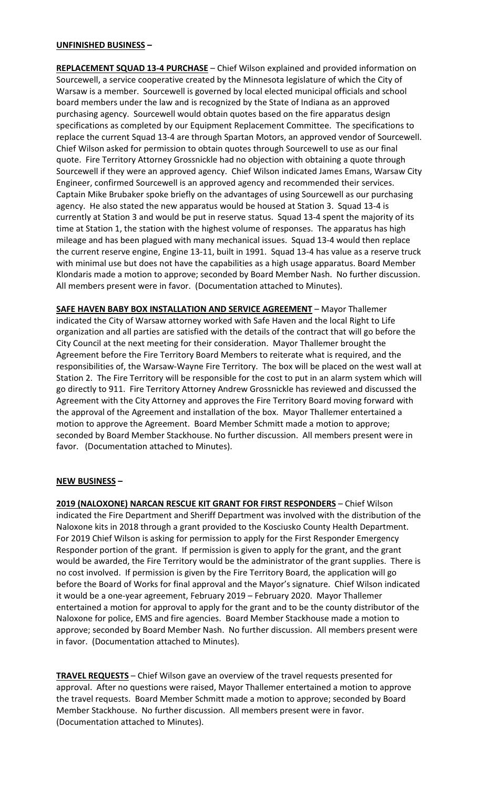## **UNFINISHED BUSINESS –**

**REPLACEMENT SQUAD 13-4 PURCHASE** – Chief Wilson explained and provided information on Sourcewell, a service cooperative created by the Minnesota legislature of which the City of Warsaw is a member. Sourcewell is governed by local elected municipal officials and school board members under the law and is recognized by the State of Indiana as an approved purchasing agency. Sourcewell would obtain quotes based on the fire apparatus design specifications as completed by our Equipment Replacement Committee. The specifications to replace the current Squad 13-4 are through Spartan Motors, an approved vendor of Sourcewell. Chief Wilson asked for permission to obtain quotes through Sourcewell to use as our final quote. Fire Territory Attorney Grossnickle had no objection with obtaining a quote through Sourcewell if they were an approved agency. Chief Wilson indicated James Emans, Warsaw City Engineer, confirmed Sourcewell is an approved agency and recommended their services. Captain Mike Brubaker spoke briefly on the advantages of using Sourcewell as our purchasing agency. He also stated the new apparatus would be housed at Station 3. Squad 13-4 is currently at Station 3 and would be put in reserve status. Squad 13-4 spent the majority of its time at Station 1, the station with the highest volume of responses. The apparatus has high mileage and has been plagued with many mechanical issues. Squad 13-4 would then replace the current reserve engine, Engine 13-11, built in 1991. Squad 13-4 has value as a reserve truck with minimal use but does not have the capabilities as a high usage apparatus. Board Member Klondaris made a motion to approve; seconded by Board Member Nash. No further discussion. All members present were in favor. (Documentation attached to Minutes).

**SAFE HAVEN BABY BOX INSTALLATION AND SERVICE AGREEMENT** – Mayor Thallemer indicated the City of Warsaw attorney worked with Safe Haven and the local Right to Life organization and all parties are satisfied with the details of the contract that will go before the City Council at the next meeting for their consideration. Mayor Thallemer brought the Agreement before the Fire Territory Board Members to reiterate what is required, and the responsibilities of, the Warsaw-Wayne Fire Territory. The box will be placed on the west wall at Station 2. The Fire Territory will be responsible for the cost to put in an alarm system which will go directly to 911. Fire Territory Attorney Andrew Grossnickle has reviewed and discussed the Agreement with the City Attorney and approves the Fire Territory Board moving forward with the approval of the Agreement and installation of the box. Mayor Thallemer entertained a motion to approve the Agreement. Board Member Schmitt made a motion to approve; seconded by Board Member Stackhouse. No further discussion. All members present were in favor. (Documentation attached to Minutes).

#### **NEW BUSINESS –**

**2019 (NALOXONE) NARCAN RESCUE KIT GRANT FOR FIRST RESPONDERS** – Chief Wilson indicated the Fire Department and Sheriff Department was involved with the distribution of the Naloxone kits in 2018 through a grant provided to the Kosciusko County Health Department. For 2019 Chief Wilson is asking for permission to apply for the First Responder Emergency Responder portion of the grant. If permission is given to apply for the grant, and the grant would be awarded, the Fire Territory would be the administrator of the grant supplies. There is no cost involved. If permission is given by the Fire Territory Board, the application will go before the Board of Works for final approval and the Mayor's signature. Chief Wilson indicated it would be a one-year agreement, February 2019 – February 2020. Mayor Thallemer entertained a motion for approval to apply for the grant and to be the county distributor of the Naloxone for police, EMS and fire agencies. Board Member Stackhouse made a motion to approve; seconded by Board Member Nash. No further discussion. All members present were in favor. (Documentation attached to Minutes).

**TRAVEL REQUESTS** – Chief Wilson gave an overview of the travel requests presented for approval. After no questions were raised, Mayor Thallemer entertained a motion to approve the travel requests. Board Member Schmitt made a motion to approve; seconded by Board Member Stackhouse. No further discussion. All members present were in favor. (Documentation attached to Minutes).